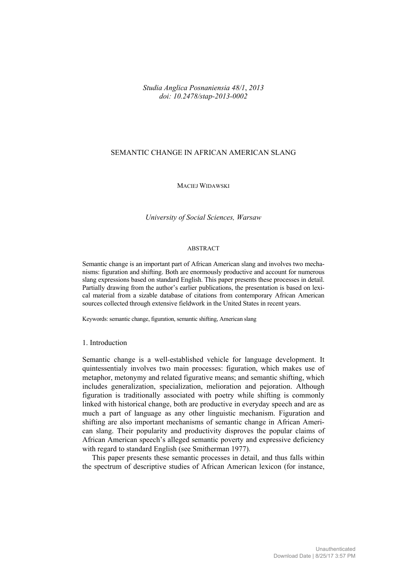## *Studia Anglica Posnaniensia 48/1*, *2013 doi: 10.2478/stap-2013-0002*

# SEMANTIC CHANGE IN AFRICAN AMERICAN SLANG

#### MACIEJ WIDAWSKI

#### *University of Social Sciences, Warsaw*

#### ABSTRACT

Semantic change is an important part of African American slang and involves two mechanisms: figuration and shifting. Both are enormously productive and account for numerous slang expressions based on standard English. This paper presents these processes in detail. Partially drawing from the author's earlier publications, the presentation is based on lexical material from a sizable database of citations from contemporary African American sources collected through extensive fieldwork in the United States in recent years.

Keywords: semantic change, figuration, semantic shifting, American slang

## 1. Introduction

Semantic change is a well-established vehicle for language development. It quintessentialy involves two main processes: figuration, which makes use of metaphor, metonymy and related figurative means; and semantic shifting, which includes generalization, specialization, melioration and pejoration. Although figuration is traditionally associated with poetry while shifting is commonly linked with historical change, both are productive in everyday speech and are as much a part of language as any other linguistic mechanism. Figuration and shifting are also important mechanisms of semantic change in African American slang. Their popularity and productivity disproves the popular claims of African American speech's alleged semantic poverty and expressive deficiency with regard to standard English (see Smitherman 1977).

This paper presents these semantic processes in detail, and thus falls within the spectrum of descriptive studies of African American lexicon (for instance,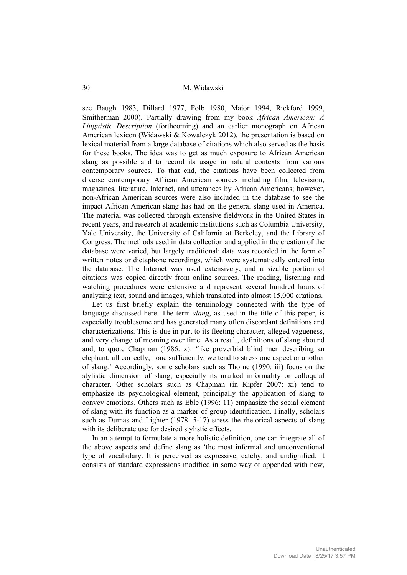M. Widawski 30

see Baugh 1983, Dillard 1977, Folb 1980, Major 1994, Rickford 1999, Smitherman 2000). Partially drawing from my book *African American: A Linguistic Description* (forthcoming) and an earlier monograph on African American lexicon (Widawski & Kowalczyk 2012), the presentation is based on lexical material from a large database of citations which also served as the basis for these books. The idea was to get as much exposure to African American slang as possible and to record its usage in natural contexts from various contemporary sources. To that end, the citations have been collected from diverse contemporary African American sources including film, television, magazines, literature, Internet, and utterances by African Americans; however, non-African American sources were also included in the database to see the impact African American slang has had on the general slang used in America. The material was collected through extensive fieldwork in the United States in recent years, and research at academic institutions such as Columbia University, Yale University, the University of California at Berkeley, and the Library of Congress. The methods used in data collection and applied in the creation of the database were varied, but largely traditional: data was recorded in the form of written notes or dictaphone recordings, which were systematically entered into the database. The Internet was used extensively, and a sizable portion of citations was copied directly from online sources. The reading, listening and watching procedures were extensive and represent several hundred hours of analyzing text, sound and images, which translated into almost 15,000 citations.

Let us first briefly explain the terminology connected with the type of language discussed here. The term *slang*, as used in the title of this paper, is especially troublesome and has generated many often discordant definitions and characterizations. This is due in part to its fleeting character, alleged vagueness, and very change of meaning over time. As a result, definitions of slang abound and, to quote Chapman (1986: x): 'like proverbial blind men describing an elephant, all correctly, none sufficiently, we tend to stress one aspect or another of slang.' Accordingly, some scholars such as Thorne (1990: iii) focus on the stylistic dimension of slang, especially its marked informality or colloquial character. Other scholars such as Chapman (in Kipfer 2007: xi) tend to emphasize its psychological element, principally the application of slang to convey emotions. Others such as Eble (1996: 11) emphasize the social element of slang with its function as a marker of group identification. Finally, scholars such as Dumas and Lighter (1978: 5-17) stress the rhetorical aspects of slang with its deliberate use for desired stylistic effects.

In an attempt to formulate a more holistic definition, one can integrate all of the above aspects and define slang as 'the most informal and unconventional type of vocabulary. It is perceived as expressive, catchy, and undignified. It consists of standard expressions modified in some way or appended with new,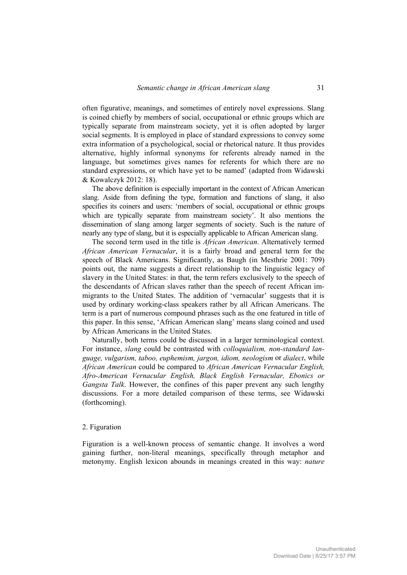often figurative, meanings, and sometimes of entirely novel expressions. Slang is coined chiefly by members of social, occupational or ethnic groups which are typically separate from mainstream society, yet it is often adopted by larger social segments. It is employed in place of standard expressions to convey some extra information of a psychological, social or rhetorical nature. It thus provides alternative, highly informal synonyms for referents already named in the language, but sometimes gives names for referents for which there are no standard expressions, or which have yet to be named' (adapted from Widawski & Kowalczyk 2012: 18).

The above definition is especially important in the context of African American slang. Aside from defining the type, formation and functions of slang, it also specifies its coiners and users: 'members of social, occupational or ethnic groups which are typically separate from mainstream society'. It also mentions the dissemination of slang among larger segments of society. Such is the nature of nearly any type of slang, but it is especially applicable to African American slang.

The second term used in the title is *African American*. Alternatively termed *African American Vernacular*, it is a fairly broad and general term for the speech of Black Americans. Significantly, as Baugh (in Mesthrie 2001: 709) points out, the name suggests a direct relationship to the linguistic legacy of slavery in the United States: in that, the term refers exclusively to the speech of the descendants of African slaves rather than the speech of recent African immigrants to the United States. The addition of 'vernacular' suggests that it is used by ordinary working-class speakers rather by all African Americans. The term is a part of numerous compound phrases such as the one featured in title of this paper. In this sense, 'African American slang' means slang coined and used by African Americans in the United States.

Naturally, both terms could be discussed in a larger terminological context. For instance, *slang* could be contrasted with *colloquialism, non-standard language, vulgarism, taboo, euphemism, jargon, idiom, neologism* or *dialect*, while *African American* could be compared to *African American Vernacular English, Afro-American Vernacular English, Black English Vernacular, Ebonics or Gangsta Talk*. However, the confines of this paper prevent any such lengthy discussions. For a more detailed comparison of these terms, see Widawski (forthcoming).

## 2. Figuration

Figuration is a well-known process of semantic change. It involves a word gaining further, non-literal meanings, specifically through metaphor and metonymy. English lexicon abounds in meanings created in this way: *nature*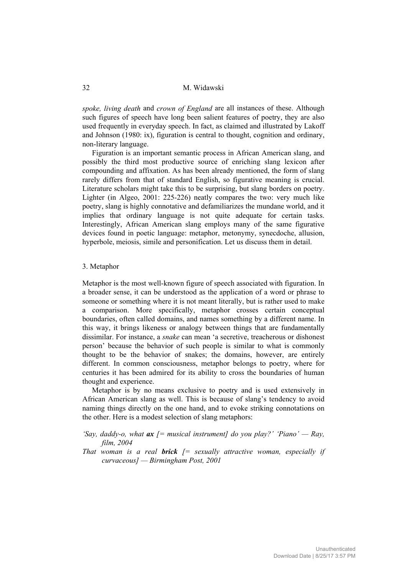M. Widawski 32

*spoke, living death* and *crown of England* are all instances of these. Although such figures of speech have long been salient features of poetry, they are also used frequently in everyday speech. In fact, as claimed and illustrated by Lakoff and Johnson (1980: ix), figuration is central to thought, cognition and ordinary, non-literary language.

Figuration is an important semantic process in African American slang, and possibly the third most productive source of enriching slang lexicon after compounding and affixation. As has been already mentioned, the form of slang rarely differs from that of standard English, so figurative meaning is crucial. Literature scholars might take this to be surprising, but slang borders on poetry. Lighter (in Algeo, 2001: 225-226) neatly compares the two: very much like poetry, slang is highly connotative and defamiliarizes the mundane world, and it implies that ordinary language is not quite adequate for certain tasks. Interestingly, African American slang employs many of the same figurative devices found in poetic language: metaphor, metonymy, synecdoche, allusion, hyperbole, meiosis, simile and personification. Let us discuss them in detail.

### 3. Metaphor

Metaphor is the most well-known figure of speech associated with figuration. In a broader sense, it can be understood as the application of a word or phrase to someone or something where it is not meant literally, but is rather used to make a comparison. More specifically, metaphor crosses certain conceptual boundaries, often called domains, and names something by a different name. In this way, it brings likeness or analogy between things that are fundamentally dissimilar. For instance, a *snake* can mean 'a secretive, treacherous or dishonest person' because the behavior of such people is similar to what is commonly thought to be the behavior of snakes; the domains, however, are entirely different. In common consciousness, metaphor belongs to poetry, where for centuries it has been admired for its ability to cross the boundaries of human thought and experience.

Metaphor is by no means exclusive to poetry and is used extensively in African American slang as well. This is because of slang's tendency to avoid naming things directly on the one hand, and to evoke striking connotations on the other. Here is a modest selection of slang metaphors:

- *'Say, daddy-o, what ax [= musical instrument] do you play?' 'Piano' Ray, film, 2004*
- *That woman is a real brick [= sexually attractive woman, especially if curvaceous] — Birmingham Post, 2001*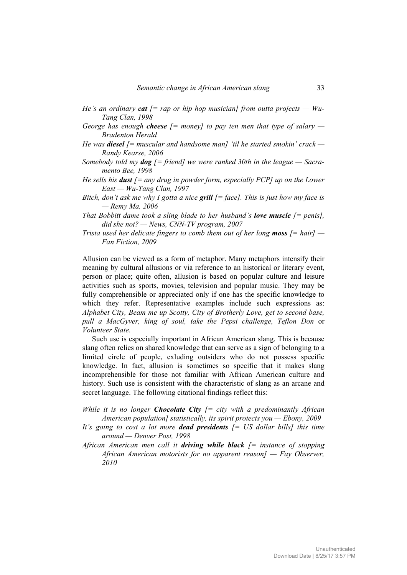- *He's an ordinary cat [= rap or hip hop musician] from outta projects Wu-Tang Clan, 1998*
- *George has enough cheese [= money] to pay ten men that type of salary Bradenton Herald*
- *He was diesel [= muscular and handsome man] 'til he started smokin' crack Randy Kearse, 2006*
- *Somebody told my dog [= friend] we were ranked 30th in the league Sacramento Bee, 1998*
- *He sells his dust [= any drug in powder form, especially PCP] up on the Lower East — Wu-Tang Clan, 1997*
- *Bitch, don't ask me why I gotta a nice grill [= face]. This is just how my face is — Remy Ma, 2006*
- *That Bobbitt dame took a sling blade to her husband's <i>love muscle*  $[=$  penis], *did she not? — News, CNN-TV program, 2007*
- *Trista used her delicate fingers to comb them out of her long moss*  $\mathcal{I} = \text{hair} \mathcal{I}$ *Fan Fiction, 2009*

Allusion can be viewed as a form of metaphor. Many metaphors intensify their meaning by cultural allusions or via reference to an historical or literary event, person or place; quite often, allusion is based on popular culture and leisure activities such as sports, movies, television and popular music. They may be fully comprehensible or appreciated only if one has the specific knowledge to which they refer. Representative examples include such expressions as: *Alphabet City, Beam me up Scotty, City of Brotherly Love, get to second base, pull a MacGyver, king of soul, take the Pepsi challenge, Teflon Don* or *Volunteer State*.

Such use is especially important in African American slang. This is because slang often relies on shared knowledge that can serve as a sign of belonging to a limited circle of people, exluding outsiders who do not possess specific knowledge. In fact, allusion is sometimes so specific that it makes slang incomprehensible for those not familiar with African American culture and history. Such use is consistent with the characteristic of slang as an arcane and secret language. The following citational findings reflect this:

- *While it is no longer Chocolate City [= city with a predominantly African American population] statistically, its spirit protects you — Ebony, 2009*
- *It's going to cost a lot more dead presidents [= US dollar bills] this time around — Denver Post, 1998*
- *African American men call it driving while black [= instance of stopping African American motorists for no apparent reason] — Fay Observer, 2010*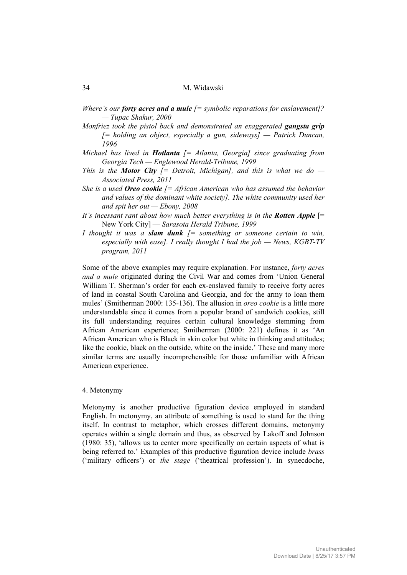*Where's our forty acres and a mule [= symbolic reparations for enslavement]? — Tupac Shakur, 2000* 

- *Monfriez took the pistol back and demonstrated an exaggerated gangsta grip [= holding an object, especially a gun, sideways] — Patrick Duncan, 1996*
- *Michael has lived in Hotlanta [= Atlanta, Georgia] since graduating from Georgia Tech — Englewood Herald-Tribune, 1999*
- *This is the Motor City [= Detroit, Michigan], and this is what we do Associated Press, 2011*
- *She is a used Oreo cookie [= African American who has assumed the behavior and values of the dominant white society]. The white community used her and spit her out — Ebony, 2008*
- *It's incessant rant about how much better everything is in the Rotten Apple [=* New York City] — *Sarasota Herald Tribune, 1999*
- *I thought it was a slam dunk [= something or someone certain to win, especially with ease]. I really thought I had the job — News, KGBT-TV program, 2011*

Some of the above examples may require explanation. For instance, *forty acres and a mule* originated during the Civil War and comes from 'Union General William T. Sherman's order for each ex-enslaved family to receive forty acres of land in coastal South Carolina and Georgia, and for the army to loan them mules' (Smitherman 2000: 135-136). The allusion in *oreo cookie* is a little more understandable since it comes from a popular brand of sandwich cookies, still its full understanding requires certain cultural knowledge stemming from African American experience; Smitherman (2000: 221) defines it as 'An African American who is Black in skin color but white in thinking and attitudes; like the cookie, black on the outside, white on the inside.' These and many more similar terms are usually incomprehensible for those unfamiliar with African American experience.

#### 4. Metonymy

Metonymy is another productive figuration device employed in standard English. In metonymy, an attribute of something is used to stand for the thing itself. In contrast to metaphor, which crosses different domains, metonymy operates within a single domain and thus, as observed by Lakoff and Johnson (1980: 35), 'allows us to center more specifically on certain aspects of what is being referred to.' Examples of this productive figuration device include *brass* ('military officers') or *the stage* ('theatrical profession'). In synecdoche,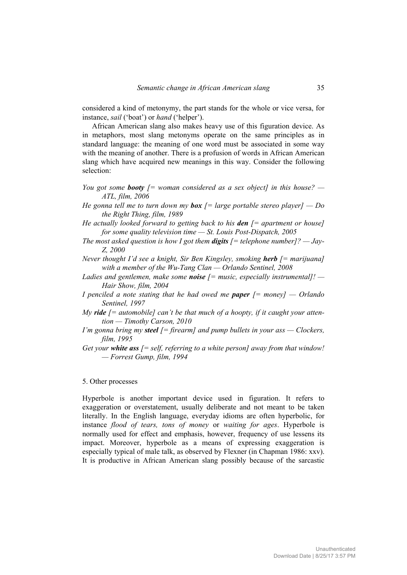considered a kind of metonymy, the part stands for the whole or vice versa, for instance, *sail* ('boat') or *hand* ('helper').

African American slang also makes heavy use of this figuration device. As in metaphors, most slang metonyms operate on the same principles as in standard language: the meaning of one word must be associated in some way with the meaning of another. There is a profusion of words in African American slang which have acquired new meanings in this way. Consider the following selection:

- *You got some booty [= woman considered as a sex object] in this house? ATL, film, 2006*
- *He gonna tell me to turn down my box [= large portable stereo player] Do the Right Thing, film, 1989*
- *He actually looked forward to getting back to his den [= apartment or house] for some quality television time — St. Louis Post-Dispatch, 2005*
- *The most asked question is how I got them digits [= telephone number]? Jay-Z, 2000*
- *Never thought I'd see a knight, Sir Ben Kingsley, smoking herb [= marijuana] with a member of the Wu-Tang Clan — Orlando Sentinel, 2008*
- *Ladies and gentlemen, make some noise [= music, especially instrumental]! Hair Show, film, 2004*
- *I penciled a note stating that he had owed me paper [= money] Orlando Sentinel, 1997*
- *My ride [= automobile] can't be that much of a hoopty, if it caught your attention — Timothy Carson, 2010*
- *I'm gonna bring my steel [= firearm] and pump bullets in your ass Clockers, film, 1995*
- *Get your white ass [= self, referring to a white person] away from that window! — Forrest Gump, film, 1994*

### 5. Other processes

Hyperbole is another important device used in figuration. It refers to exaggeration or overstatement, usually deliberate and not meant to be taken literally. In the English language, everyday idioms are often hyperbolic, for instance *flood of tears, tons of money* or *waiting for ages*. Hyperbole is normally used for effect and emphasis, however, frequency of use lessens its impact. Moreover, hyperbole as a means of expressing exaggeration is especially typical of male talk, as observed by Flexner (in Chapman 1986: xxv). It is productive in African American slang possibly because of the sarcastic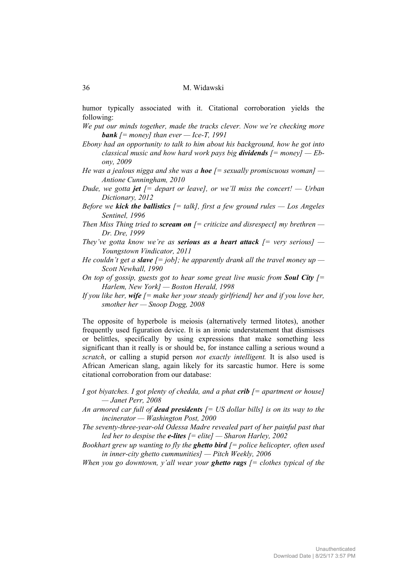humor typically associated with it. Citational corroboration yields the following:

- *We put our minds together, made the tracks clever. Now we're checking more bank [= money] than ever — Ice-T, 1991*
- *Ebony had an opportunity to talk to him about his background, how he got into classical music and how hard work pays big dividends [= money] — Ebony, 2009*
- *He was a jealous nigga and she was a hoe [= sexually promiscuous woman] Antione Cunningham, 2010*
- *Dude, we gotta jet [= depart or leave], or we'll miss the concert! Urban Dictionary, 2012*
- *Before we kick the ballistics*  $[=$  *talk], first a few ground rules*  $-$  *Los Angeles Sentinel, 1996*
- *Then Miss Thing tried to scream on [= criticize and disrespect] my brethren Dr. Dre, 1999*
- *They've gotta know we're as serious as a heart attack*  $[$  *= very serious]*  $-$ *Youngstown Vindicator, 2011*
- *He couldn't get a <i>slave*  $[= job]$ ; he apparently drank all the travel money up *Scott Newhall, 1990*
- *On top of gossip, guests got to hear some great live music from Soul City [= Harlem, New York] — Boston Herald, 1998*
- *If you like her, wife [= make her your steady girlfriend] her and if you love her, smother her — Snoop Dogg, 2008*

The opposite of hyperbole is meiosis (alternatively termed litotes), another frequently used figuration device. It is an ironic understatement that dismisses or belittles, specifically by using expressions that make something less significant than it really is or should be, for instance calling a serious wound a *scratch*, or calling a stupid person *not exactly intelligent.* It is also used is African American slang, again likely for its sarcastic humor. Here is some citational corroboration from our database:

- *I got biyatches. I got plenty of chedda, and a phat crib [= apartment or house] — Janet Perr, 2008*
- *An armored car full of dead presidents [= US dollar bills] is on its way to the incinerator — Washington Post, 2000*
- *The seventy-three-year-old Odessa Madre revealed part of her painful past that led her to despise the e-lites [= elite] — Sharon Harley, 2002*
- *Bookhart grew up wanting to fly the ghetto bird [= police helicopter, often used in inner-city ghetto cummunities] — Pitch Weekly, 2006*
- *When you go downtown, y'all wear your ghetto rags [= clothes typical of the*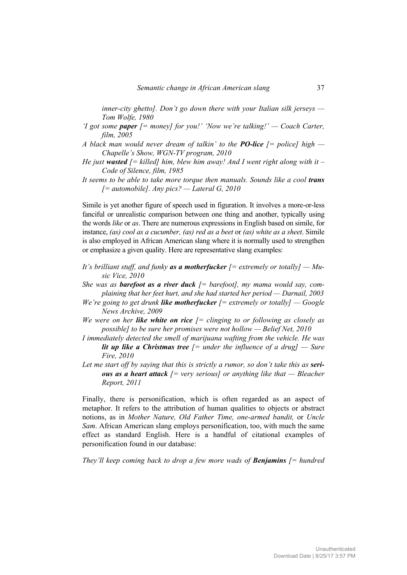*inner-city ghetto]. Don't go down there with your Italian silk jerseys — Tom Wolfe, 1980* 

- *'I got some paper [= money] for you!' 'Now we're talking!' Coach Carter, film, 2005*
- *A black man would never dream of talkin' to the PO-lice [= police] high Chapelle's Show, WGN-TV program, 2010*
- *He just wasted [= killed] him, blew him away! And I went right along with it Code of Silence, film, 1985*
- *It seems to be able to take more torque then manuals. Sounds like a cool trans [= automobile]. Any pics? — Lateral G, 2010*

Simile is yet another figure of speech used in figuration. It involves a more-or-less fanciful or unrealistic comparison between one thing and another, typically using the words *like* or *as*. There are numerous expressions in English based on simile, for instance, *(as) cool as a cucumber, (as) red as a beet* or *(as) white as a sheet*. Simile is also employed in African American slang where it is normally used to strengthen or emphasize a given quality. Here are representative slang examples:

- *It's brilliant stuff, and funky as a motherfucker [= extremely or totally] Music Vice, 2010*
- *She was as barefoot as a river duck [= barefoot], my mama would say, complaining that her feet hurt, and she had started her period — Darnail, 2003*
- *We're going to get drunk like motherfucker [= extremely or totally] Google News Archive, 2009*
- *We were on her like white on rice [= clinging to or following as closely as possible] to be sure her promises were not hollow — Belief Net, 2010*
- *I immediately detected the smell of marijuana wafting from the vehicle. He was lit up like a Christmas tree*  $f =$  under the influence of a drug]  $-$  Sure *Fire, 2010*
- Let me start off by saying that this is strictly a rumor, so don't take this as **seri***ous as a heart attack [= very serious] or anything like that — Bleacher Report, 2011*

Finally, there is personification, which is often regarded as an aspect of metaphor. It refers to the attribution of human qualities to objects or abstract notions, as in *Mother Nature, Old Father Time, one-armed bandit,* or *Uncle Sam*. African American slang employs personification, too, with much the same effect as standard English. Here is a handful of citational examples of personification found in our database:

*They'll keep coming back to drop a few more wads of Benjamins [= hundred*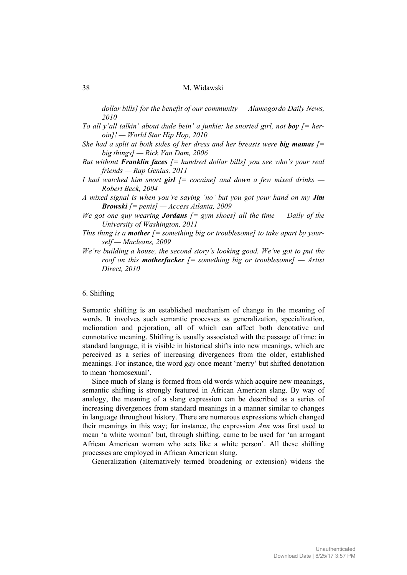*dollar bills] for the benefit of our community — Alamogordo Daily News, 2010* 

- *To all y'all talkin' about dude bein' a junkie; he snorted girl, not boy*  $f = her$ *oin]! — World Star Hip Hop, 2010*
- *She had a split at both sides of her dress and her breasts were big mamas*  $\mathfrak{f} =$ *big things] — Rick Van Dam, 2006*
- *But without Franklin faces [= hundred dollar bills] you see who's your real friends — Rap Genius, 2011*
- *I had watched him snort girl [= cocaine] and down a few mixed drinks Robert Beck, 2004*
- *A mixed signal is when you're saying 'no' but you got your hand on my Jim Browski [= penis] — Access Atlanta, 2009*
- *We got one guy wearing <i>Jordans*  $[= gym$  shoes] all the time  $=$  Daily of the *University of Washington, 2011*
- *This thing is a mother [= something big or troublesome] to take apart by yourself — Macleans, 2009*
- *We're building a house, the second story's looking good. We've got to put the roof on this motherfucker [= something big or troublesome] — Artist Direct, 2010*

#### 6. Shifting

Semantic shifting is an established mechanism of change in the meaning of words. It involves such semantic processes as generalization, specialization, melioration and pejoration, all of which can affect both denotative and connotative meaning. Shifting is usually associated with the passage of time: in standard language, it is visible in historical shifts into new meanings, which are perceived as a series of increasing divergences from the older, established meanings. For instance, the word *gay* once meant 'merry' but shifted denotation to mean 'homosexual'.

Since much of slang is formed from old words which acquire new meanings, semantic shifting is strongly featured in African American slang. By way of analogy, the meaning of a slang expression can be described as a series of increasing divergences from standard meanings in a manner similar to changes in language throughout history. There are numerous expressions which changed their meanings in this way; for instance, the expression *Ann* was first used to mean 'a white woman' but, through shifting, came to be used for 'an arrogant African American woman who acts like a white person'. All these shifting processes are employed in African American slang.

Generalization (alternatively termed broadening or extension) widens the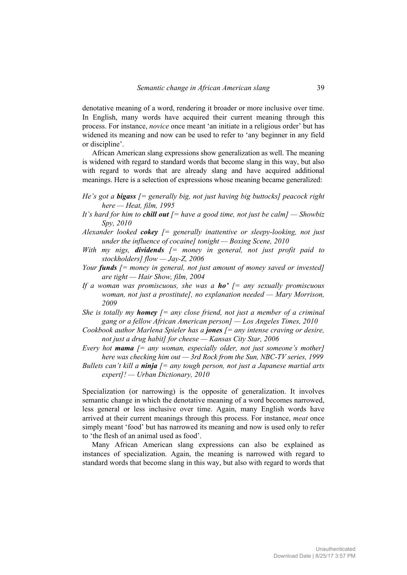denotative meaning of a word, rendering it broader or more inclusive over time. In English, many words have acquired their current meaning through this process. For instance, *novice* once meant 'an initiate in a religious order' but has widened its meaning and now can be used to refer to 'any beginner in any field or discipline'.

African American slang expressions show generalization as well. The meaning is widened with regard to standard words that become slang in this way, but also with regard to words that are already slang and have acquired additional meanings. Here is a selection of expressions whose meaning became generalized:

- *He's got a bigass [= generally big, not just having big buttocks] peacock right here — Heat, film, 1995*
- *It's hard for him to chill out [= have a good time, not just be calm] Showbiz Spy, 2010*
- *Alexander looked cokey [= generally inattentive or sleepy-looking, not just under the influence of cocaine] tonight — Boxing Scene, 2010*
- *With my nigs, dividends [= money in general, not just profit paid to stockholders] flow — Jay-Z, 2006*
- *Your funds [= money in general, not just amount of money saved or invested] are tight — Hair Show, film, 2004*
- *If a woman was promiscuous, she was a ho' [= any sexually promiscuous woman, not just a prostitute], no explanation needed — Mary Morrison, 2009*
- *She is totally my homey*  $f = any close friend$ *, not just a member of a criminal gang or a fellow African American person] — Los Angeles Times, 2010*
- *Cookbook author Marlena Spieler has a jones [= any intense craving or desire, not just a drug habit] for cheese — Kansas City Star, 2006*
- *Every hot mama [= any woman, especially older, not just someone's mother] here was checking him out — 3rd Rock from the Sun, NBC-TV series, 1999*
- *Bullets can't kill a ninja [= any tough person, not just a Japanese martial arts expert]! — Urban Dictionary, 2010*

Specialization (or narrowing) is the opposite of generalization. It involves semantic change in which the denotative meaning of a word becomes narrowed, less general or less inclusive over time. Again, many English words have arrived at their current meanings through this process. For instance, *meat* once simply meant 'food' but has narrowed its meaning and now is used only to refer to 'the flesh of an animal used as food'.

Many African American slang expressions can also be explained as instances of specialization. Again, the meaning is narrowed with regard to standard words that become slang in this way, but also with regard to words that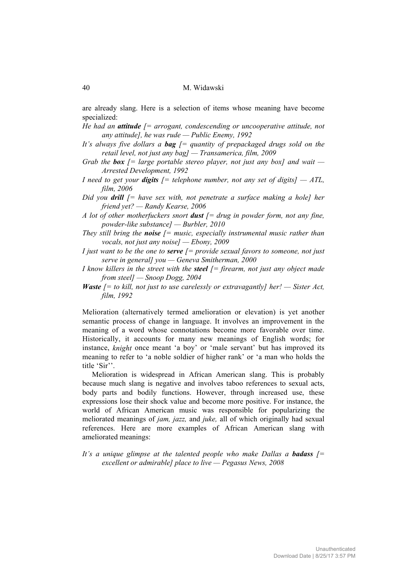are already slang. Here is a selection of items whose meaning have become specialized:

- *He had an attitude [= arrogant, condescending or uncooperative attitude, not any attitude], he was rude — Public Enemy, 1992*
- *It's always five dollars a bag [= quantity of prepackaged drugs sold on the retail level, not just any bag] — Transamerica, film, 2009*
- *Grab the box [= large portable stereo player, not just any box] and wait Arrested Development, 1992*
- *I* need to get your *digits*  $f$  = telephone number, not any set of digits  $f$   $ATL$ , *film, 2006*
- *Did you drill [= have sex with, not penetrate a surface making a hole] her friend yet? — Randy Kearse, 2006*
- *A lot of other motherfuckers snort dust [= drug in powder form, not any fine, powder-like substance] — Burbler, 2010*
- *They still bring the noise [= music, especially instrumental music rather than vocals, not just any noise] — Ebony, 2009*
- *I just want to be the one to serve [= provide sexual favors to someone, not just serve in general] you — Geneva Smitherman, 2000*
- *I know killers in the street with the steel [= firearm, not just any object made from steel] — Snoop Dogg, 2004*
- *Waste [= to kill, not just to use carelessly or extravagantly] her! Sister Act, film, 1992*

Melioration (alternatively termed amelioration or elevation) is yet another semantic process of change in language. It involves an improvement in the meaning of a word whose connotations become more favorable over time. Historically, it accounts for many new meanings of English words; for instance, *knight* once meant 'a boy' or 'male servant' but has improved its meaning to refer to 'a noble soldier of higher rank' or 'a man who holds the title 'Sir''.

Melioration is widespread in African American slang. This is probably because much slang is negative and involves taboo references to sexual acts, body parts and bodily functions. However, through increased use, these expressions lose their shock value and become more positive. For instance, the world of African American music was responsible for popularizing the meliorated meanings of *jam, jazz,* and *juke,* all of which originally had sexual references. Here are more examples of African American slang with ameliorated meanings:

It's a unique glimpse at the talented people who make Dallas a **badass**  $f =$ *excellent or admirable] place to live — Pegasus News, 2008*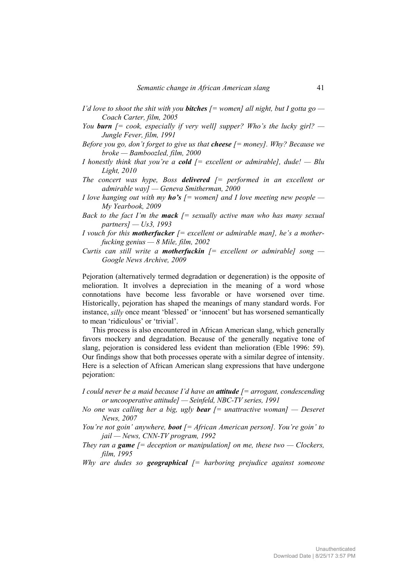- *I'd love to shoot the shit with you bitches [= women] all night, but I gotta go Coach Carter, film, 2005*
- *You burn*  $\ell$  = cook, especially if very welll supper? Who's the lucky girl? *Jungle Fever, film, 1991*
- *Before you go, don't forget to give us that cheese [= money]. Why? Because we broke — Bamboozled, film, 2000*
- *I honestly think that you're a cold [= excellent or admirable], dude! Blu Light, 2010*
- *The concert was hype, Boss delivered [= performed in an excellent or admirable way] — Geneva Smitherman, 2000*
- *I love hanging out with my ho's [= women] and I love meeting new people My Yearbook, 2009*
- *Back to the fact I'm the mack [= sexually active man who has many sexual partners] — Us3, 1993*
- *I vouch for this motherfucker [= excellent or admirable man], he's a motherfucking genius — 8 Mile, film, 2002*
- *Curtis can still write a motherfuckin [= excellent or admirable] song Google News Archive, 2009*

Pejoration (alternatively termed degradation or degeneration) is the opposite of melioration. It involves a depreciation in the meaning of a word whose connotations have become less favorable or have worsened over time. Historically, pejoration has shaped the meanings of many standard words. For instance, *silly* once meant 'blessed' or 'innocent' but has worsened semantically to mean 'ridiculous' or 'trivial'.

This process is also encountered in African American slang, which generally favors mockery and degradation. Because of the generally negative tone of slang, pejoration is considered less evident than melioration (Eble 1996: 59). Our findings show that both processes operate with a similar degree of intensity. Here is a selection of African American slang expressions that have undergone pejoration:

- *I could never be a maid because I'd have an attitude [= arrogant, condescending or uncooperative attitude] — Seinfeld, NBC-TV series, 1991*
- *No one was calling her a big, ugly bear [= unattractive woman] Deseret News, 2007*
- *You're not goin' anywhere, boot [= African American person]. You're goin' to jail — News, CNN-TV program, 1992*
- *They ran a game*  $\mathfrak{f} =$  *deception or manipulation] on me, these two Clockers, film, 1995*
- *Why are dudes so geographical [= harboring prejudice against someone*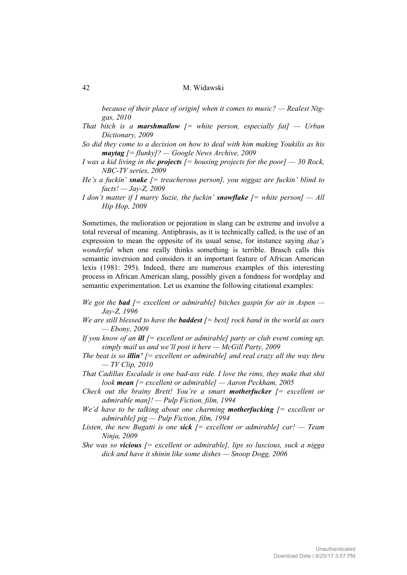*because of their place of origin] when it comes to music? — Realest Niggas, 2010* 

- *That bitch is a marshmallow*  $f =$  *white person, especially fatl*  $-$  *Urban Dictionary, 2009*
- *So did they come to a decision on how to deal with him making Youkilis as his maytag [= flunky]? — Google News Archive, 2009*
- *I was a kid living in the projects [= housing projects for the poor] 30 Rock, NBC-TV series, 2009*
- *He's a fuckin' snake [= treacherous person], you niggaz are fuckin' blind to facts! — Jay-Z, 2009*
- *I don't matter if I marry Suzie, the fuckin' snowflake [= white person] All Hip Hop, 2009*

Sometimes, the melioration or pejoration in slang can be extreme and involve a total reversal of meaning. Antiphrasis, as it is technically called, is the use of an expression to mean the opposite of its usual sense, for instance saying *that's wonderful* when one really thinks something is terrible. Brasch calls this semantic inversion and considers it an important feature of African American lexis (1981: 295). Indeed, there are numerous examples of this interesting process in African American slang, possibly given a fondness for wordplay and semantic experimentation. Let us examine the following citational examples:

- *We got the bad [= excellent or admirable] bitches gaspin for air in Aspen Jay-Z, 1996*
- *We are still blessed to have the baddest [= best] rock band in the world as ours — Ebony, 2009*
- *If you know of an ill [= excellent or admirable] party or club event coming up, simply mail us and we'll post it here — McGill Party, 2009*
- *The beat is so illin'*  $\mathcal{L} =$  *excellent or admirable] and real crazy all the way thru — TV Clip, 2010*
- *That Cadillas Escalade is one bad-ass ride. I love the rims, they make that shit look mean [= excellent or admirable] — Aaron Peckham, 2005*
- *Check out the brainy Brett! You're a smart motherfucker [= excellent or admirable man]! — Pulp Fiction, film, 1994*
- *We'd have to be talking about one charming motherfucking [= excellent or admirable] pig — Pulp Fiction, film, 1994*
- *Listen, the new Bugatti is one sick [= excellent or admirable] car! Team Ninja, 2009*
- *She was so vicious [= excellent or admirable], lips so luscious, suck a nigga dick and have it shinin like some dishes — Snoop Dogg, 2006*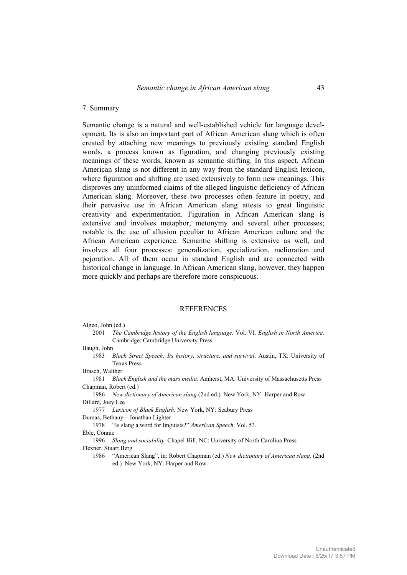## 7. Summary

Semantic change is a natural and well-established vehicle for language development. Its is also an important part of African American slang which is often created by attaching new meanings to previously existing standard English words, a process known as figuration, and changing previously existing meanings of these words, known as semantic shifting. In this aspect, African American slang is not different in any way from the standard English lexicon, where figuration and shifting are used extensively to form new meanings. This disproves any uninformed claims of the alleged linguistic deficiency of African American slang. Moreover, these two processes often feature in poetry, and their pervasive use in African American slang attests to great linguistic creativity and experimentation. Figuration in African American slang is extensive and involves metaphor, metonymy and several other processes; notable is the use of allusion peculiar to African American culture and the African American experience. Semantic shifting is extensive as well, and involves all four processes: generalization, specialization, melioration and pejoration. All of them occur in standard English and are connected with historical change in language. In African American slang, however, they happen more quickly and perhaps are therefore more conspicuous.

#### **REFERENCES**

#### Algeo, John (ed.)

 2001 *The Cambridge history of the English language.* Vol. VI*. English in North America.* Cambridge: Cambridge University Press

Baugh, John

- 1983 *Black Street Speech: Its history, structure, and survival*. Austin, TX: University of Texas Press
- Brasch, Walther
- 1981 *Black English and the mass media*. Amherst, MA: University of Massachusetts Press Chapman, Robert (ed.)
- 1986 *New dictionary of American slang.*(2nd ed.)*.* New York, NY: Harper and Row Dillard, Joey Lee

1977 *Lexicon of Black English*. New York, NY: Seabury Press

Dumas, Bethany – Jonathan Lighter

1978 "Is slang a word for linguists?" *American Speech*. Vol. 53.

Eble, Connie

 1996 *Slang and sociability*. Chapel Hill, NC: University of North Carolina Press Flexner, Stuart Berg

 1986 "American Slang", in: Robert Chapman (ed.) *New dictionary of American slang*. (2nd ed.)*.* New York, NY: Harper and Row.